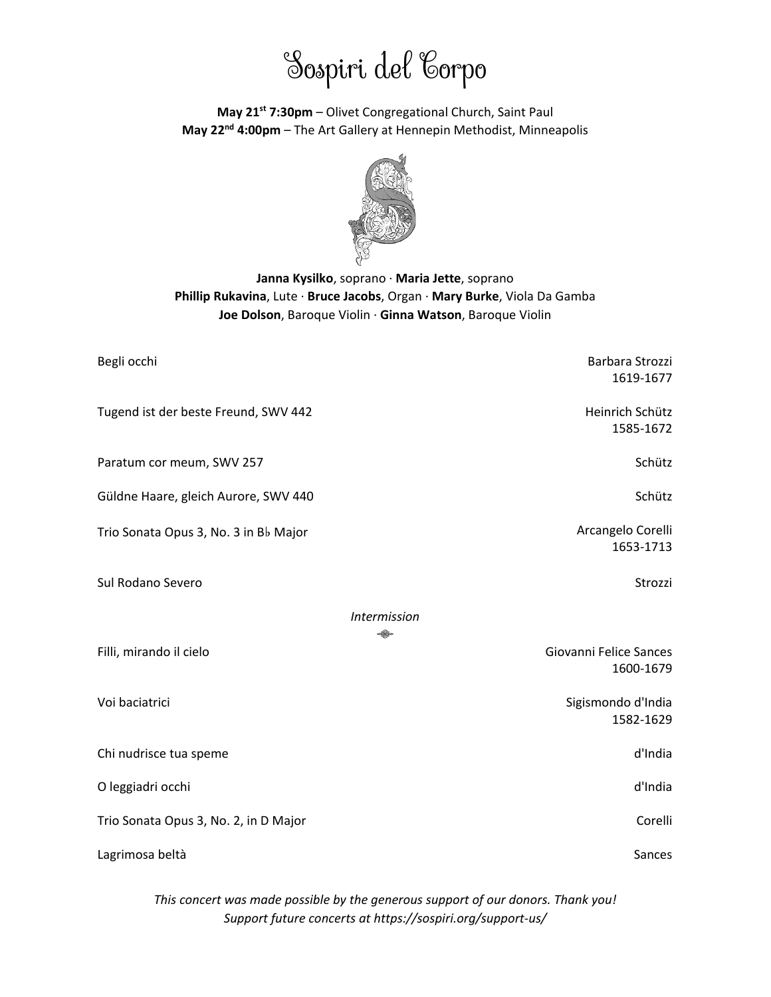# Sospiri del Corpo

**May 21st 7:30pm** – Olivet Congregational Church, Saint Paul **May 22nd 4:00pm** – The Art Gallery at Hennepin Methodist, Minneapolis



# **Janna Kysilko**, soprano · **Maria Jette**, soprano **Phillip Rukavina**, Lute · **Bruce Jacobs**, Organ · **Mary Burke**, Viola Da Gamba **Joe Dolson**, Baroque Violin · **Ginna Watson**, Baroque Violin

| Begli occhi                           | Barbara Strozzi<br>1619-1677        |
|---------------------------------------|-------------------------------------|
| Tugend ist der beste Freund, SWV 442  | Heinrich Schütz<br>1585-1672        |
| Paratum cor meum, SWV 257             | Schütz                              |
| Güldne Haare, gleich Aurore, SWV 440  | Schütz                              |
| Trio Sonata Opus 3, No. 3 in Bb Major | Arcangelo Corelli<br>1653-1713      |
| Sul Rodano Severo                     | Strozzi                             |
| <b>Intermission</b><br>₩              |                                     |
| Filli, mirando il cielo               | Giovanni Felice Sances<br>1600-1679 |
| Voi baciatrici                        | Sigismondo d'India<br>1582-1629     |
| Chi nudrisce tua speme                | d'India                             |
| O leggiadri occhi                     | d'India                             |
| Trio Sonata Opus 3, No. 2, in D Major | Corelli                             |
| Lagrimosa beltà                       | Sances                              |

*This concert was made possible by the generous support of our donors. Thank you! Support future concerts at https://sospiri.org/support-us/*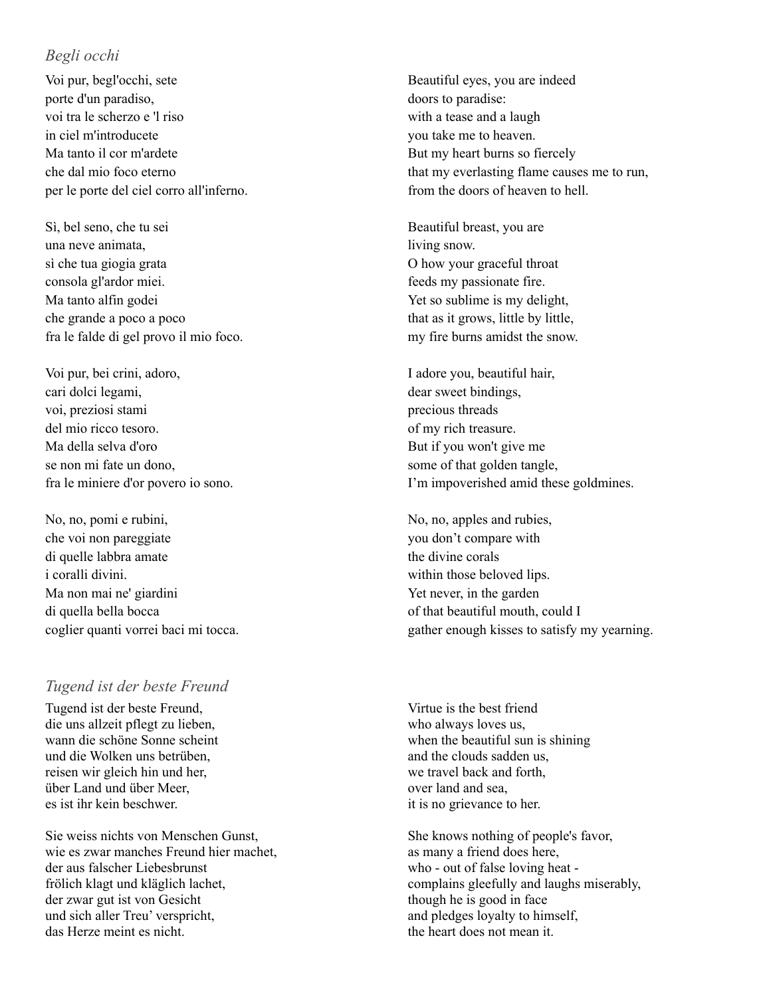## *Begli occhi*

Voi pur, begl'occhi, sete porte d'un paradiso, voi tra le scherzo e 'l riso in ciel m'introducete Ma tanto il cor m'ardete che dal mio foco eterno per le porte del ciel corro all'inferno.

Sì, bel seno, che tu sei una neve animata, sì che tua giogia grata consola gl'ardor miei. Ma tanto alfin godei che grande a poco a poco fra le falde di gel provo il mio foco.

Voi pur, bei crini, adoro, cari dolci legami, voi, preziosi stami del mio ricco tesoro. Ma della selva d'oro se non mi fate un dono, fra le miniere d'or povero io sono.

No, no, pomi e rubini, che voi non pareggiate di quelle labbra amate i coralli divini. Ma non mai ne' giardini di quella bella bocca coglier quanti vorrei baci mi tocca.

#### *Tugend ist der beste Freund*

Tugend ist der beste Freund, die uns allzeit pflegt zu lieben, wann die schöne Sonne scheint und die Wolken uns betrüben, reisen wir gleich hin und her, über Land und über Meer, es ist ihr kein beschwer.

Sie weiss nichts von Menschen Gunst, wie es zwar manches Freund hier machet, der aus falscher Liebesbrunst frölich klagt und kläglich lachet, der zwar gut ist von Gesicht und sich aller Treu' verspricht, das Herze meint es nicht.

Beautiful eyes, you are indeed doors to paradise: with a tease and a laugh you take me to heaven. But my heart burns so fiercely that my everlasting flame causes me to run, from the doors of heaven to hell.

Beautiful breast, you are living snow. O how your graceful throat feeds my passionate fire. Yet so sublime is my delight, that as it grows, little by little, my fire burns amidst the snow.

I adore you, beautiful hair, dear sweet bindings, precious threads of my rich treasure. But if you won't give me some of that golden tangle, I'm impoverished amid these goldmines.

No, no, apples and rubies, you don't compare with the divine corals within those beloved lips. Yet never, in the garden of that beautiful mouth, could I gather enough kisses to satisfy my yearning.

Virtue is the best friend who always loves us, when the beautiful sun is shining and the clouds sadden us, we travel back and forth, over land and sea, it is no grievance to her.

She knows nothing of people's favor, as many a friend does here, who - out of false loving heat complains gleefully and laughs miserably, though he is good in face and pledges loyalty to himself, the heart does not mean it.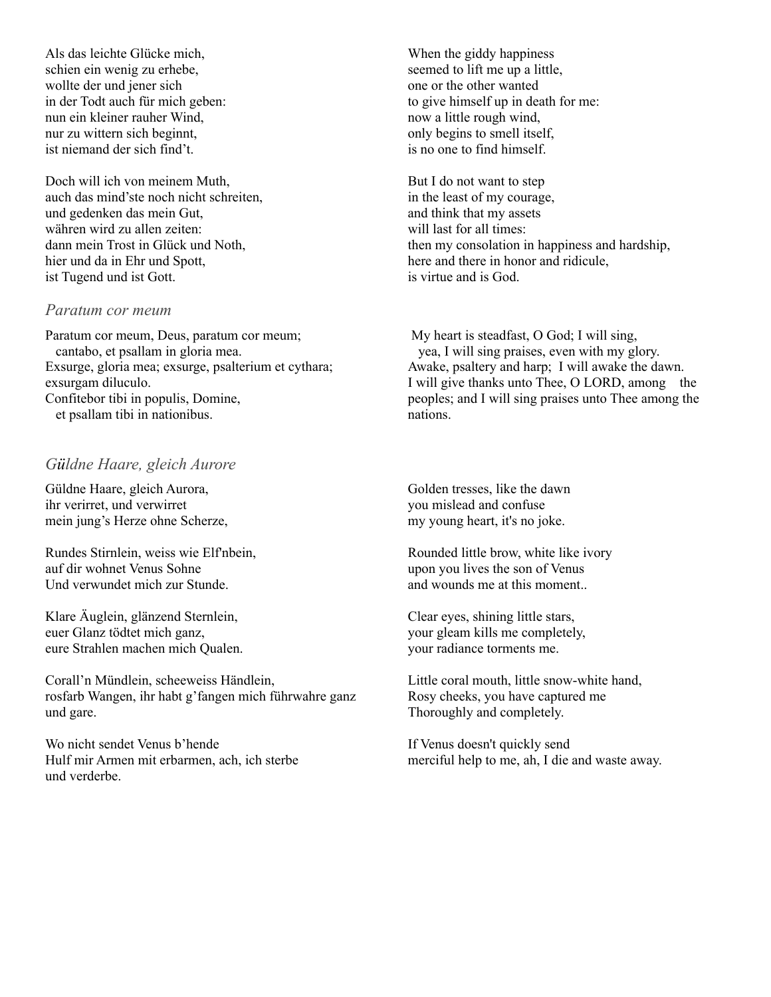Als das leichte Glücke mich, schien ein wenig zu erhebe, wollte der und jener sich in der Todt auch für mich geben: nun ein kleiner rauher Wind, nur zu wittern sich beginnt, ist niemand der sich find't.

Doch will ich von meinem Muth, auch das mind'ste noch nicht schreiten, und gedenken das mein Gut, währen wird zu allen zeiten: dann mein Trost in Glück und Noth, hier und da in Ehr und Spott, ist Tugend und ist Gott.

#### *Paratum cor meum*

Paratum cor meum, Deus, paratum cor meum; cantabo, et psallam in gloria mea. Exsurge, gloria mea; exsurge, psalterium et cythara; exsurgam diluculo. Confitebor tibi in populis, Domine, et psallam tibi in nationibus.

# *Güldne Haare, gleich Aurore*

Güldne Haare, gleich Aurora, ihr verirret, und verwirret mein jung's Herze ohne Scherze,

Rundes Stirnlein, weiss wie Elf'nbein, auf dir wohnet Venus Sohne Und verwundet mich zur Stunde.

Klare Äuglein, glänzend Sternlein, euer Glanz tödtet mich ganz, eure Strahlen machen mich Qualen.

Corall'n Mündlein, scheeweiss Händlein, rosfarb Wangen, ihr habt g'fangen mich führwahre ganz und gare.

Wo nicht sendet Venus b'hende Hulf mir Armen mit erbarmen, ach, ich sterbe und verderbe.

When the giddy happiness seemed to lift me up a little, one or the other wanted to give himself up in death for me: now a little rough wind, only begins to smell itself, is no one to find himself.

But I do not want to step in the least of my courage, and think that my assets will last for all times: then my consolation in happiness and hardship, here and there in honor and ridicule, is virtue and is God.

My heart is steadfast, O God; I will sing, yea, I will sing praises, even with my glory. Awake, psaltery and harp; I will awake the dawn. I will give thanks unto Thee, O LORD, among the peoples; and I will sing praises unto Thee among the nations.

Golden tresses, like the dawn you mislead and confuse my young heart, it's no joke.

Rounded little brow, white like ivory upon you lives the son of Venus and wounds me at this moment..

Clear eyes, shining little stars, your gleam kills me completely, your radiance torments me.

Little coral mouth, little snow-white hand, Rosy cheeks, you have captured me Thoroughly and completely.

If Venus doesn't quickly send merciful help to me, ah, I die and waste away.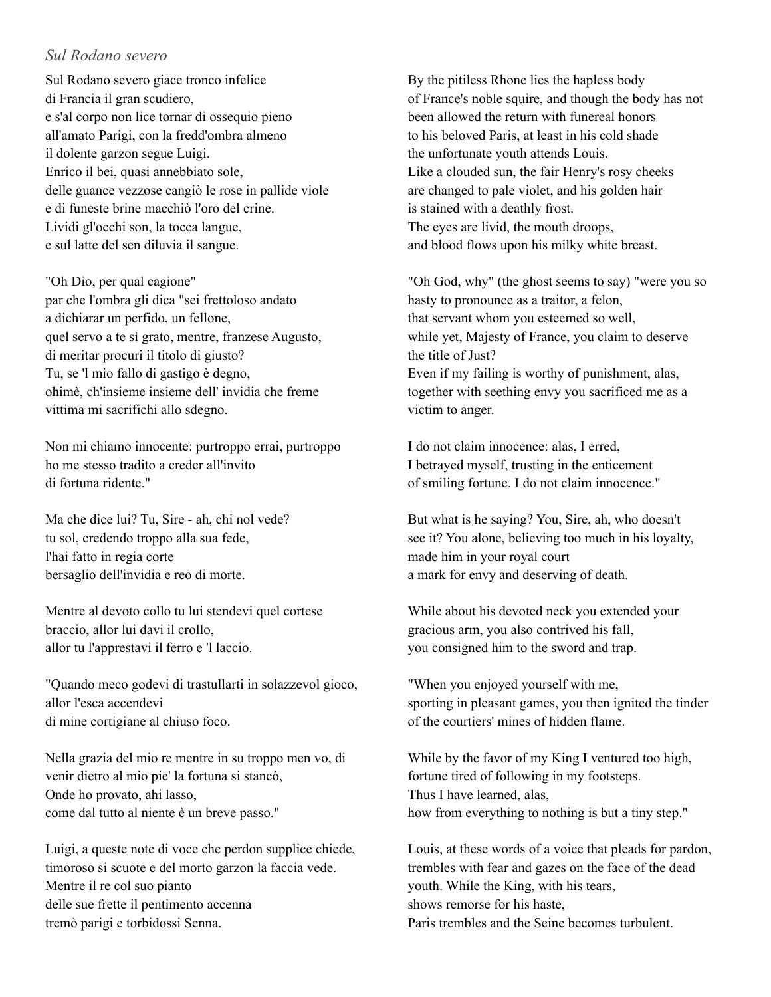## *Sul Rodano severo*

Sul Rodano severo giace tronco infelice di Francia il gran scudiero, e s'al corpo non lice tornar di ossequio pieno all'amato Parigi, con la fredd'ombra almeno il dolente garzon segue Luigi. Enrico il bei, quasi annebbiato sole, delle guance vezzose cangiò le rose in pallide viole e di funeste brine macchiò l'oro del crine. Lividi gl'occhi son, la tocca langue, e sul latte del sen diluvia il sangue.

"Oh Dio, per qual cagione" par che l'ombra gli dica "sei frettoloso andato a dichiarar un perfido, un fellone, quel servo a te sì grato, mentre, franzese Augusto, di meritar procuri il titolo di giusto? Tu, se 'l mio fallo di gastigo è degno, ohimè, ch'insieme insieme dell' invidia che freme vittima mi sacrifichi allo sdegno.

Non mi chiamo innocente: purtroppo errai, purtroppo ho me stesso tradito a creder all'invito di fortuna ridente."

Ma che dice lui? Tu, Sire - ah, chi nol vede? tu sol, credendo troppo alla sua fede, l'hai fatto in regia corte bersaglio dell'invidia e reo di morte.

Mentre al devoto collo tu lui stendevi quel cortese braccio, allor lui davi il crollo, allor tu l'apprestavi il ferro e 'l laccio.

"Quando meco godevi di trastullarti in solazzevol gioco, allor l'esca accendevi di mine cortigiane al chiuso foco.

Nella grazia del mio re mentre in su troppo men vo, di venir dietro al mio pie' la fortuna si stancò, Onde ho provato, ahi lasso, come dal tutto al niente è un breve passo."

Luigi, a queste note di voce che perdon supplice chiede, timoroso si scuote e del morto garzon la faccia vede. Mentre il re col suo pianto delle sue frette il pentimento accenna tremò parigi e torbidossi Senna.

By the pitiless Rhone lies the hapless body of France's noble squire, and though the body has not been allowed the return with funereal honors to his beloved Paris, at least in his cold shade the unfortunate youth attends Louis. Like a clouded sun, the fair Henry's rosy cheeks are changed to pale violet, and his golden hair is stained with a deathly frost. The eyes are livid, the mouth droops, and blood flows upon his milky white breast.

"Oh God, why" (the ghost seems to say) "were you so hasty to pronounce as a traitor, a felon, that servant whom you esteemed so well, while yet, Majesty of France, you claim to deserve the title of Just? Even if my failing is worthy of punishment, alas, together with seething envy you sacrificed me as a victim to anger.

I do not claim innocence: alas, I erred, I betrayed myself, trusting in the enticement of smiling fortune. I do not claim innocence."

But what is he saying? You, Sire, ah, who doesn't see it? You alone, believing too much in his loyalty, made him in your royal court a mark for envy and deserving of death.

While about his devoted neck you extended your gracious arm, you also contrived his fall, you consigned him to the sword and trap.

"When you enjoyed yourself with me, sporting in pleasant games, you then ignited the tinder of the courtiers' mines of hidden flame.

While by the favor of my King I ventured too high, fortune tired of following in my footsteps. Thus I have learned, alas, how from everything to nothing is but a tiny step."

Louis, at these words of a voice that pleads for pardon, trembles with fear and gazes on the face of the dead youth. While the King, with his tears, shows remorse for his haste, Paris trembles and the Seine becomes turbulent.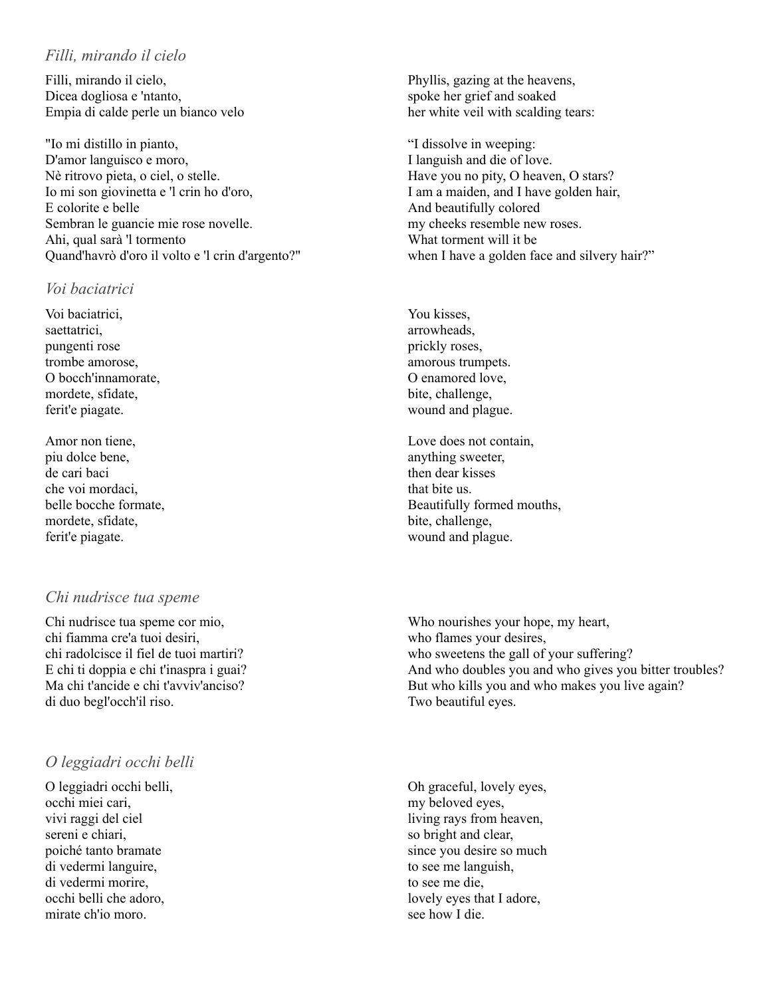### *Filli, mirando il cielo*

Filli, mirando il cielo, Dicea dogliosa e 'ntanto, Empia di calde perle un bianco velo

"Io mi distillo in pianto, D'amor languisco e moro, Nè ritrovo pieta, o ciel, o stelle. Io mi son giovinetta e 'l crin ho d'oro, E colorite e belle Sembran le guancie mie rose novelle. Ahi, qual sarà 'l tormento Quand'havrò d'oro il volto e 'l crin d'argento?"

#### *Voi baciatrici*

Voi baciatrici, saettatrici, pungenti rose trombe amorose, O bocch'innamorate, mordete, sfidate, ferit'e piagate.

Amor non tiene, piu dolce bene, de cari baci che voi mordaci, belle bocche formate, mordete, sfidate, ferit'e piagate.

# *Chi nudrisce tua speme*

Chi nudrisce tua speme cor mio, chi fiamma cre'a tuoi desiri, chi radolcisce il fiel de tuoi martiri? E chi ti doppia e chi t'inaspra i guai? Ma chi t'ancide e chi t'avviv'anciso? di duo begl'occh'il riso.

# *O leggiadri occhi belli*

O leggiadri occhi belli, occhi miei cari, vivi raggi del ciel sereni e chiari, poiché tanto bramate di vedermi languire, di vedermi morire, occhi belli che adoro, mirate ch'io moro.

Phyllis, gazing at the heavens, spoke her grief and soaked her white veil with scalding tears:

"I dissolve in weeping: I languish and die of love. Have you no pity, O heaven, O stars? I am a maiden, and I have golden hair, And beautifully colored my cheeks resemble new roses. What torment will it be when I have a golden face and silvery hair?"

You kisses, arrowheads, prickly roses, amorous trumpets. O enamored love, bite, challenge, wound and plague.

Love does not contain, anything sweeter, then dear kisses that bite us. Beautifully formed mouths, bite, challenge, wound and plague.

Who nourishes your hope, my heart, who flames your desires, who sweetens the gall of your suffering? And who doubles you and who gives you bitter troubles? But who kills you and who makes you live again? Two beautiful eyes.

Oh graceful, lovely eyes, my beloved eyes, living rays from heaven, so bright and clear, since you desire so much to see me languish, to see me die, lovely eyes that I adore, see how I die.